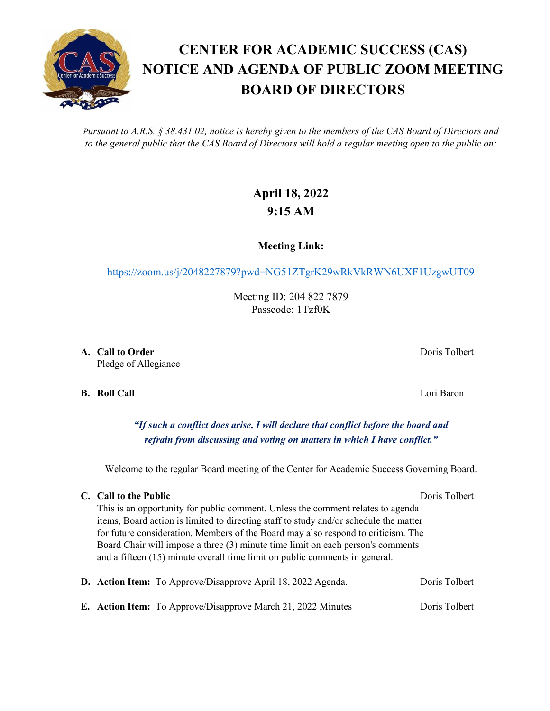*Pursuant to A.R.S. § 38.431.02, notice is hereby given to the members of the CAS Board of Directors and to the general public that the CAS Board of Directors will hold a regular meeting open to the public on:*

## **April 18, 2022 9:15 AM**

**Meeting Link:**

<https://zoom.us/j/2048227879?pwd=NG51ZTgrK29wRkVkRWN6UXF1UzgwUT09>

Meeting ID: 204 822 7879 Passcode: 1Tzf0K

**A. Call to Order** Doris Tolbert **Domain Community Community Domain Community Domain Domain Domain Domain Domain Domain Domain Domain Domain Domain Domain Domain Domain Domain Domain Domain Domain Domain Domain Dom** Pledge of Allegiance

**B. Roll Call** Lori Baron

*"If such a conflict does arise, I will declare that conflict before the board and refrain from discussing and voting on matters in which I have conflict."*

Welcome to the regular Board meeting of the Center for Academic Success Governing Board.

## **C. Call to the Public** Doris Tolbert Doris Tolbert

This is an opportunity for public comment. Unless the comment relates to agenda items, Board action is limited to directing staff to study and/or schedule the matter for future consideration. Members of the Board may also respond to criticism. The Board Chair will impose a three (3) minute time limit on each person's comments and a fifteen (15) minute overall time limit on public comments in general.

|  | <b>D.</b> Action Item: To Approve/Disapprove April 18, 2022 Agenda. | Doris Tolbert |
|--|---------------------------------------------------------------------|---------------|
|  | E. Action Item: To Approve/Disapprove March 21, 2022 Minutes        | Doris Tolbert |

## **CENTER FOR ACADEMIC SUCCESS (CAS) NOTICE AND AGENDA OF PUBLIC ZOOM MEETING BOARD OF DIRECTORS**